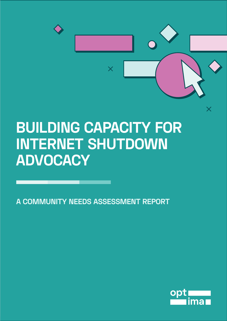

# **BUILDING CAPACITY FOR INTERNET SHUTDOWN ADVOCACY**

**A COMMUNITY NEEDS ASSESSMENT REPORT**

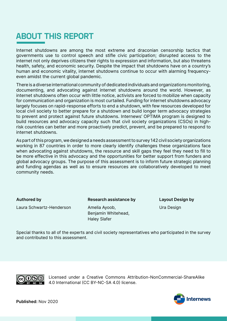### **ABOUT THIS REPORT**

Internet shutdowns are among the most extreme and draconian censorship tactics that governments use to control speech and stifle civic participation; disrupted access to the internet not only deprives citizens their rights to expression and information, but also threatens health, safety, and economic security. Despite the impact that shutdowns have on a country's human and economic vitality, internet shutdowns continue to occur with alarming frequencyeven amidst the current global pandemic.

There is a diverse international community of dedicated individuals and organizations monitoring, documenting, and advocating against internet shutdowns around the world. However, as internet shutdowns often occur with little notice, activists are forced to mobilize when capacity for communication and organization is most curtailed. Funding for internet shutdowns advocacy largely focuses on rapid-response efforts to end a shutdown, with few resources developed for local civil society to better prepare for a shutdown and build longer term advocacy strategies to prevent and protect against future shutdowns. Internews' OPTIMA program is designed to build resources and advocacy capacity such that civil society organizations (CSOs) in highrisk countries can better and more proactively predict, prevent, and be prepared to respond to internet shutdowns.

As part of this program, we designed a needs assessment to survey 142 civil society organizations working in 87 countries in order to more clearly identify challenges these organizations face when advocating against shutdowns, the resource and skill gaps they feel they need to fill to be more effective in this advocacy and the opportunities for better support from funders and global advocacy groups. The purpose of this assessment is to inform future strategic planning and funding agendas as well as to ensure resources are collaboratively developed to meet community needs.

#### Authored by

Laura Schwartz-Henderson

Research assistance by

Layout Design by Ura Design

Amelia Ayoob, Benjamin Whitehead, Haley Slafer

Special thanks to all of the experts and civil society representatives who participated in the survey and contributed to this assessment.



Licensed under a Creative Commons Attribution-NonCommercial-ShareAlike 4.0 International (CC BY-NC-SA 4.0) license.

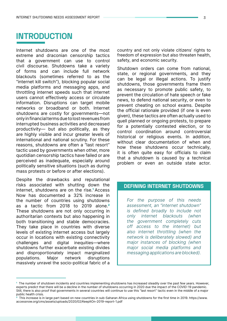### **INTRODUCTION**

Internet shutdowns are one of the most extreme and draconian censorship tactics that a government can use to control civil discourse. Shutdowns take a variety of forms and can include full network blackouts (sometimes referred to as the "internet kill switch"), blocking popular social media platforms and messaging apps, and throttling internet speeds such that internet users cannot effectively access or circulate information. Disruptions can target mobile networks or broadband or both. Internet shutdowns are costly for governments—not only in financial terms due to lost revenues from interrupted business activities and decreased productivity— but also politically, as they are highly visible and incur greater levels of international and national scrutiny. For these reasons, shutdowns are often a "last resort" tactic used by governments when other, more quotidian censorship tactics have failed or are perceived as inadequate, especially around politically sensitive situations (such as during mass protests or before or after elections).

Despite the drawbacks and reputational risks associated with shutting down the internet, shutdowns are on the rise.<sup>1</sup> Access Now has documented a 32% increase in the number of countries using shutdowns as a tactic from 2018 to 2019 alone.<sup>2</sup> These shutdowns are not only occurring in authoritarian contexts but also happening in both transitioning and stable democracies. They take place in countries with diverse levels of existing internet access but largely occur in locations with existing connectivity challenges and digital inequities—where shutdowns further exacerbate existing divides and disproportionately impact marginalized populations. Major network disruptions massively unravel the socio-political fabric of a country and not only violate citizens' rights to freedom of expression but also threaten health, safety, and economic security.

Shutdown orders can come from national, state, or regional governments, and they can be legal or illegal actions. To justify shutdowns, those governments frame them as necessary to promote public safety, to prevent the circulation of hate speech or fake news, to defend national security, or even to prevent cheating on school exams. Despite the official rationale provided (if one is even given), these tactics are often actually used to quell planned or ongoing protests, to prepare for a potentially contested election, or to control coordination around controversial historical or religious events. In addition, without clear documentation of when and how these shutdowns occur technically, it is often quite easy for officials to claim that a shutdown is caused by a technical problem or even an outside state actor.

#### **DEFINING INTERNET SHUTDOWNS**

For the purpose of this needs assessment, an "internet shutdown" is defined broadly to include not only internet blackouts (when the government completely cuts off access to the internet) but also internet throttling (when the network is deliberately slowed) and major instances of blocking (when major social media platforms and messaging applications are blocked).

<sup>1</sup> The number of shutdown incidents and countries implementing shutdowns has increased steadily over the past few years. However, experts predict that there will be a decline in the number of shutdowns occurring in 2020 due the impact of the COVID-19 pandemic. Still, there is also proof that governments in several countries will continue to use this "last resort" tactic even in the middle of a major public health crisis.

 $2$  This increase is in large part based on new countries in sub-Saharan Africa using shutdowns for the first time in 2019. https://www. accessnow.org/cms/assets/uploads/2020/02/KeepItOn-2019-report-1.pdf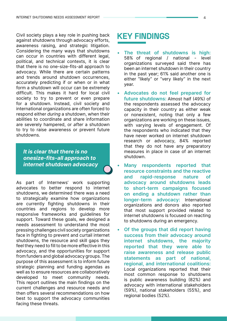Civil society plays a key role in pushing back against shutdowns through advocacy efforts, awareness raising, and strategic litigation. Considering the many ways that shutdowns can occur in countries with different legal, political, and technical contexts, it is clear that there is no one-size-fits-all approach to advocacy. While there are certain patterns and trends around shutdown occurrences, accurately predicting if or when or in what form a shutdown will occur can be extremely difficult. This makes it hard for local civil society to try to prevent or even prepare for a shutdown. Instead, civil society and international organizations are often forced to respond either during a shutdown, when their abilities to coordinate and share information are severely hampered, or after a shutdown to try to raise awareness or prevent future shutdowns.

It is clear that there is no onesize-fits-all approach to internet shutdown advocacy

As part of Internews' work supporting advocates to better respond to internet shutdowns, we determined there was a need to strategically examine how organizations are currently fighting shutdowns in their countries and regions to develop more responsive frameworks and guidelines for support. Toward these goals, we designed a needs assessment to understand the most pressing challenges civil society organizations face in fighting to prevent and curtail internet shutdowns, the resource and skill gaps they feel they need to fill to be more effective in this advocacy, and the opportunities for support from funders and global advocacy groups. The purpose of this assessment is to inform future strategic planning and funding agendas as well as to ensure resources are collaboratively developed to meet community needs. This report outlines the main findings on the current challenges and resource needs and then offers several recommendations on how best to support the advocacy communities facing these threats.

### **KEY FINDINGS**

- The threat of shutdowns is high: 58% of regional / national - level organizations surveyed said there has been an internet shutdown in their country in the past year; 61% said another one is either "likely" or "very likely" in the next year.
- Advocates do not feel prepared for future shutdowns: Almost half (49%) of the respondents assessed the advocacy capacity in their country as either weak or nonexistent, noting that only a few organizations are working on these issues, with varying levels of engagement. Of the respondents who indicated that they have never worked on internet shutdown research or advocacy, 84% reported that they do not have any preparatory measures in place in case of an internet shutdown.
- Many respondents reported that resource constraints and the reactive and rapid-response nature of advocacy around shutdowns leads to short-term campaigns focused on ending a shutdown rather than longer-term advocacy: International organizations and donors also reported that most support provided related to internet shutdowns is focused on reacting to shutdowns during an emergency.
- Of the groups that did report having success from their advocacy around internet shutdowns, the majority reported that they were able to raise awareness and release public statements as part of national, regional, and international coalitions: Local organizations reported that their most common response to shutdowns is public awareness building (82%) and advocacy with international stakeholders (59%), national stakeholders (55%), and regional bodies (52%).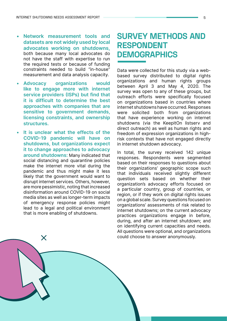- Network measurement tools and datasets are not widely used by local advocates working on shutdowns, both because many local advocates do not have the staff with expertise to run the required tests or because of funding constraints needed to build "in-house" measurement and data analysis capacity.
- Advocacy organizations would like to engage more with internet service providers (ISPs) but find that it is difficult to determine the best approaches with companies that are sensitive to government demands. licensing constraints, and ownership structures.
- It is unclear what the effects of the COVID-19 pandemic will have on shutdowns, but organizations expect it to change approaches to advocacy around shutdowns: Many indicated that social distancing and quarantine policies make the internet more vital during the pandemic and thus might make it less likely that the government would want to disrupt internet services. Others, however, are more pessimistic, noting that increased disinformation around COVID-19 on social media sites as well as longer-term impacts of emergency response policies might lead to a legal and political environment that is more enabling of shutdowns.

X

### **SURVEY METHODS AND RESPONDENT DEMOGRAPHICS**

Data were collected for this study via a webbased survey distributed to digital rights organizations and human rights groups between April 3 and May 4, 2020. The survey was open to any of these groups, but outreach efforts were specifically focused on organizations based in countries where internet shutdowns have occurred. Responses were solicited both from organizations that have experience working on internet shutdowns (via the KeepitOn listserv and direct outreach) as well as human rights and freedom of expression organizations in highrisk contexts that have not engaged directly in internet shutdown advocacy.

In total, the survey received 142 unique responses. Respondents were segmented based on their responses to questions about their organizations' geographic scope such that individuals received slightly different question sets based on whether their organization's advocacy efforts focused on a particular country, group of countries, or region, or if they work on digital rights issues on a global scale. Survey questions focused on organizations' assessments of risk related to internet shutdowns; on the current advocacy practices organizations engage in before, during, and after an internet shutdown; and on identifying current capacities and needs. All questions were optional, and organizations could choose to answer anonymously.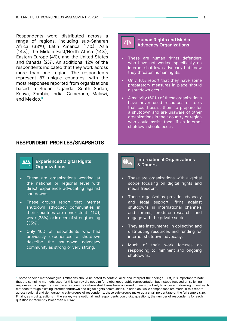Respondents were distributed across a range of regions, including sub-Saharan Africa (38%), Latin America (17%), Asia (14%), the Middle East/North Africa (14%), Eastern Europe (4%), and the United States and Canada (2%). An additional 12% of the respondents indicated that they work across more than one region. The respondents represent 87 unique countries, with the most responses reported from organizations based in Sudan, Uganda, South Sudan, Kenya, Zambia, India, Cameroon, Malawi, and Mexico.3

#### **RESPONDENT PROFILES/SNAPSHOTS**

## 888

#### Experienced Digital Rights **Organizations**

- These are organizations working at the national or regional level with direct experience advocating against shutdowns.
- These groups report that internet shutdown advocacy communities in their countries are nonexistent (11%), weak (38%), or in need of strengthening (35%).
- Only 16% of respondents who had previously experienced a shutdown describe the shutdown advocacy community as strong or very strong.

## бŢд

#### Human Rights and Media Advocacy Organizations

- These are human rights defenders who have not worked specifically on internet shutdown advocacy but know they threaten human rights.
- Only 16% report that they have some preparatory measures in place should a shutdown occur.
- A majority (60%) of these organizations have never used resources or tools that could assist them to prepare for a shutdown and are unaware of other organizations in their country or region who could assist them if an internet shutdown should occur.

#### International Organizations & Donors

- These are organizations with a global scope focusing on digital rights and media freedom.
- These organizatios provide advocacy and legal support, fight against shutdowns in international channels and forums, produce research, and engage with the private sector.
- They are instrumental in collecting and distributing resources and funding for internet shutdown advocacy.
- Much of their work focuses on responding to imminent and ongoing shutdowns.

<sup>&</sup>lt;sup>3</sup> Some specific methodological limitations should be noted to contextualize and interpret the findings. First, it is important to note that the sampling methods used for this survey did not aim for global geographic representation but instead focused on soliciting responses from organizations based in countries where shutdowns have occurred or are more likely to occur and drawing on outreach methods through existing internet shutdown and digital rights communities. In addition, while comparisons are made in this report across regional and demographic sub-groups of respondents, these sub-groups make up a small percentage of the full sample size. Finally, as most questions in the survey were optional, and respondents could skip questions, the number of respondents for each question is frequently lower than n = 142.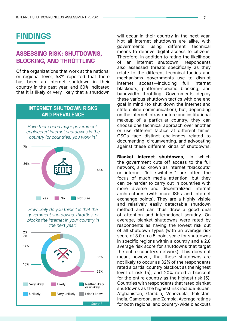### **FINDINGS**

#### **ASSESSING RISK: SHUTDOWNS, BLOCKING, AND THROTTLING**

Of the organizations that work at the national or regional level, 58% reported that there has been an internet shutdown in their country in the past year, and 60% indicated that it is likely or very likely that a shutdown

#### **INTERNET SHUTDOWN RISKS AND PREVALENCE**



How likely do you think it is that the government shutdowns, throttles or blocks the internet in your country in the next year?



will occur in their country in the next year. Not all internet shutdowns are alike, with governments using different technical means to deprive digital access to citizens. Therefore, in addition to rating the likelihood of an internet shutdown, respondents also assessed threats specifically as they relate to the different technical tactics and mechanisms governments use to disrupt internet access—including full internet blackouts, platform-specific blocking, and bandwidth throttling. Governments deploy these various shutdown tactics with one end goal in mind (to shut down the internet and stifle online communication), but, depending on the internet infrastructure and institutional makeup of a particular country, they can choose one technical approach over another or use different tactics at different times. CSOs face distinct challenges related to documenting, circumventing, and advocating against these different kinds of shutdowns.

Blanket internet shutdowns, in which the government cuts off access to the full network, also known as internet "blackouts" or internet "kill switches," are often the focus of much media attention, but they can be harder to carry out in countries with more diverse and decentralized internet architectures (with more ISPs and internet exchange points). They are a highly visible and relatively easily detectable shutdown method and can thus draw a good deal of attention and international scrutiny. On average, blanket shutdowns were rated by respondents as having the lowest risk out of all shutdown types (with an average risk score of 3.0 on a 5-point scale for shutdowns in specific regions within a country and a 2.8 average risk score for shutdowns that target the entire country's network). This does not mean, however, that these shutdowns are not likely to occur as 32% of the respondents rated a partial country blackout as the highest level of risk (5), and 20% rated a blackout for the entire country as the highest risk (5). Countries with respondents that rated blanket shutdowns as the highest risk include Sudan, Afghanistan, Gambia, Venezuela, Pakistan, India, Cameroon, and Zambia. Average ratings for both regional and country-wide blackouts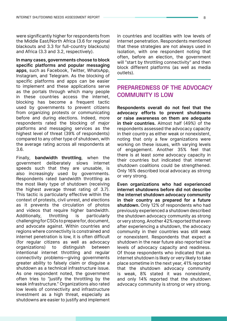were significantly higher for respondents from the Middle East/North Africa (3.6 for regional blackouts and 3.3 for full-country blackouts) and Africa (3.3 and 3.2, respectively).

In many cases, governments choose to block specific platforms and popular messaging apps, such as Facebook, Twitter, WhatsApp, Instagram, and Telegram. As the blocking of specific platforms and apps can be easier to implement and these applications serve as the portals through which many people in these countries access the internet, blocking has become a frequent tactic used by governments to prevent citizens from organizing protests or communicating before and during elections. Indeed, more respondents rated the blocking of major platforms and messaging services as the highest level of threat (39% of respondents) compared to any other type of shutdown, with the average rating across all respondents at 3.6.

Finally, bandwidth throttling, when the government deliberately slows internet speeds such that they are unusable, is also increasingly used by governments. Respondents rated bandwidth throttling as the most likely type of shutdown (receiving the highest average threat rating of 3.7). This tactic is particularly effective within the context of protests, civil unrest, and elections as it prevents the circulation of photos and videos that require higher bandwidth. Additionally, throttling is particularly challenging for CSOs to prepare for, document, and advocate against. Within countries and regions where connectivity is constrained and internet penetration is low, it is often difficult (for regular citizens as well as advocacy organizations) to distinguish between intentional internet throttling and regular connectivity problems—giving governments greater ability to falsely claim or disguise a shutdown as a technical infrastructure issue. As one respondent noted, the government often tries to "justify the throttling by the weak infrastructure." Organizations also rated low levels of connectivity and infrastructure investment as a high threat, especially as shutdowns are easier to justify and implement

in countries and localities with low levels of internet penetration. Respondents mentioned that these strategies are not always used in isolation, with one respondent noting that often, before an election, the government will "start by throttling connectivity" and then block different platforms (as well as media outlets).

#### **PREPAREDNESS OF THE ADVOCACY COMMUNITY IS LOW**

Respondents overall do not feel that the advocacy efforts to prevent shutdowns or raise awareness on them are adequate in their countries. Almost half (49%) of the respondents assessed the advocacy capacity in their country as either weak or nonexistent, noting that only a few organizations were working on these issues, with varying levels of engagement. Another 35% feel that there is at least some advocacy capacity in their countries but indicated that internet shutdown coalitions could be strengthened. Only 16% described local advocacy as strong or very strong.

Even organizations who had experienced internet shutdowns before did not describe the internet shutdown advocacy community in their country as prepared for a future shutdown. Only 12% of respondents who had previously experienced a shutdown described the shutdown advocacy community as strong or very strong. Another 42% reported that even after experiencing a shutdown, the advocacy community in their countries was still weak or nonexistent. Respondents that expect a shutdown in the near future also reported low levels of advocacy capacity and readiness. Of those respondents who indicated that an internet shutdown is likely or very likely to take place sometime in the next year, 41% reported that the shutdown advocacy community is weak, 8% stated it was nonexistent, and only 14% reported that the shutdown advocacy community is strong or very strong.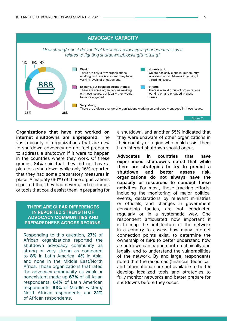

Organizations that have not worked on internet shutdowns are unprepared. The vast majority of organizations that are new to shutdown advocacy do not feel prepared to address a shutdown if it were to happen in the countries where they work. Of these groups, 84% said that they did not have a plan for a shutdown, while only 16% reported that they had some preparatory measures in place. A majority (60%) of these organizations reported that they had never used resources or tools that could assist them in preparing for

#### THERE ARE CLEAR DIFFERENCES IN REPORTED STRENGTH OF ADVOCACY COMMUNITIES AND PREPAREDNESS ACROSS REGIONS.

Responding to this question, 27% of African organizations reported the shutdown advocacy community as strong or very strong as compared to 8% in Latin America, 4% in Asia, and none in the Middle East/North Africa. Those organizations that rated the advocacy community as weak or nonexistent made up 67% of all Asian respondents, 64% of Latin American respondents, 63% of Middle Eastern/ North African respondents, and 31% of African respondents.

a shutdown, and another 55% indicated that they were unaware of other organizations in their country or region who could assist them if an internet shutdown should occur.

Advocates in countries that have experienced shutdowns noted that while there are strategies to try to predict a shutdown and better assess risk, organizations do not always have the capacity or resources to conduct these activities. For most, these tracking efforts, including the monitoring of major political events, declarations by relevant ministries or officials, and changes in government censorship tactics, are not conducted regularly or in a systematic way. One respondent articulated how important it is to map the architecture of the network in a country to assess how many internet connection points exist, to determine the ownership of ISPs to better understand how a shutdown can happen both technically and legally, and to understand the vulnerabilities of the network. By and large, respondents noted that the resources (financial, technical, and informational) are not available to better develop localized tools and strategies to fully monitor networks and better prepare for shutdowns before they occur.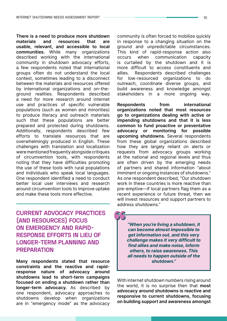There is a need to produce more shutdown materials and resources that are usable, relevant, and accessible to local communities. While many organizations described working with the international community in shutdown advocacy efforts, a few respondents noted that international groups often do not understand the local context, sometimes leading to a disconnect between the materials and resources offered by international organizations and on-theground realities. Respondents described a need for more research around internet use and practices of specific vulnerable populations (such as women and minorities) to produce literacy and outreach materials such that these populations are better prepared and protected during shutdowns. Additionally, respondents described few efforts to translate resources that are overwhelmingly produced in English. These challenges with translation and localization were mentioned frequently alongside critiques of circumvention tools, with respondents noting that they have difficulties promoting the use of these tools with rural populations and individuals who speak local languages. One respondent identified a need to conduct better local user interviews and research around circumvention tools to improve uptake and make these tools more effective.

**CURRENT ADVOCACY PRACTICES (AND RESOURCES) FOCUS ON EMERGENCY AND RAPID-RESPONSE EFFORTS IN LIEU OF LONGER-TERM PLANNING AND PREPARATION**

Many respondents stated that resource constraints and the reactive and rapidresponse nature of advocacy around shutdowns lead to short-term campaigns focused on ending a shutdown rather than longer-term advocacy. As described by one respondent, advocacy approaches to shutdowns develop when organizations are in "emergency mode" as the advocacy community is often forced to mobilize quickly in response to a changing situation on the ground and unpredictable circumstances. This kind of rapid-response action also occurs when communication capacity is curtailed by the shutdown and it is more difficult to access constituents and allies. Respondents described challenges for low-resourced organizations to do outreach, coordinate diverse groups, and build awareness and knowledge amongst stakeholders in a more ongoing way.

Respondents from international organizations noted that most resources go to organizations dealing with active or impending shutdowns and that it is less common to fund proactive or preventative advocacy or monitoring for possible upcoming shutdowns. Several respondents from these global organizations described how they are largely reliant on alerts or requests from advocacy groups working at the national and regional levels and thus are often driven by the emerging needs of partners and shared information "about imminent or ongoing instances of shutdowns." As one respondent described, "Our shutdown work in these countries is more reactive than pre-emptive—if local partners flag them as a recent experience or future threat, then we will invest resources and support partners to address shutdowns."

"When you're living a shutdown, it can become almost impossible to get information out, and this very challenge makes it very difficult to find allies and make noise, inform others, to raise awareness. This all needs to happen outside of the shutdown."

With internet shutdown numbers rising around the world, it is no surprise then that most advocacy around shutdowns is reactive and responsive to current shutdowns, focusing on building support and awareness amongst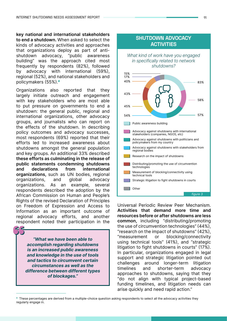key national and international stakeholders to end a shutdown. When asked to select the kinds of advocacy activities and approaches that organizations deploy as part of antishutdown advocacy, "public awareness building" was the approach cited most frequently by respondents (82%), followed by advocacy with international (59%), regional (52%), and national stakeholders and policymakers (55%).<sup>4</sup>

Organizations also reported that they largely initiate outreach and engagement with key stakeholders who are most able to put pressure on governments to end a shutdown: the general public, regional and international organizations, other advocacy groups, and journalists who can report on the effects of the shutdown. In describing policy outcomes and advocacy successes, most respondents (69%) reported that their efforts led to increased awareness about shutdowns amongst the general population and key groups. An additional 33% described these efforts as culminating in the release of public statements condemning shutdowns and declarations from international organizations, such as UN bodies, regional organizations, and global advocacy organizations. As an example, several respondents described the adoption by the African Commission on Human and People's Rights of the revised Declaration of Principles on Freedom of Expression and Access to Information as an important outcome of regional advocacy efforts, and another respondent noted their participation in the

"What we have been able to accomplish regarding shutdowns is an increased public awareness and knowledge in the use of tools and tactics to circumvent certain circumstances as well as the difference between different types of blockages."



Strategic litigation to fight shutdowns in courts Other

figure 3

Universal Periodic Review Peer Mechanism. Activities that demand more time and resources before or after shutdowns are less common, including "distributing/promoting the use of circumvention technologies" (44%), "research on the impact of shutdowns" (42%), "measurement or blocking/connectivity using technical tools" (41%), and "strategic litigation to fight shutdowns in courts" (17%). In particular, organizations engaged in legal support and strategic litigation pointed out challenges around longer-term litigation timelines and shorter-term advocacy approaches to shutdowns, saying that they "do not align with typical project-based funding timelines, and litigation needs can arise quickly and need rapid action."

<sup>&</sup>lt;sup>4</sup> These percentages are derived from a multiple-choice question asking respondents to select all the advocacy activities they regularly engage in.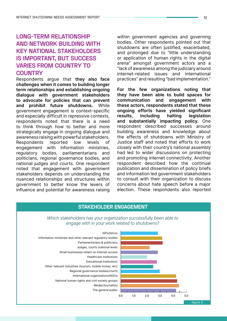### **LONG-TERM RELATIONSHIP AND NETWORK BUILDING WITH KEY NATIONAL STAKEHOLDERS IS IMPORTANT, BUT SUCCESS VARIES FROM COUNTRY TO COUNTRY**

Respondents argue that they also face challenges when it comes to building longer term relationships and establishing ongoing dialogue with government stakeholders to advocate for policies that can prevent and prohibit future shutdowns. While government engagement is context-specific and especially difficult in repressive contexts, respondents noted that there is a need to think through how to better and more strategically engage in ongoing dialogue and awareness raising with powerful stakeholders. Respondents reported low levels of engagement with information ministries, regulatory bodies, parliamentarians and politicians, regional governance bodies, and national judges and courts. One respondent noted that engagement with government stakeholders depends on understanding the nuanced relationships and structures within government to better know the levers of influence and potential for awareness raising

within government agencies and governing bodies. Other respondents pointed out that shutdowns are often justified, exacerbated, and prolonged due to "little understanding or application of human rights in the digital arena" amongst government actors and a "lack of awareness among the judiciary around internet-related issues and international practices" and resulting "bad implementation."

For the few organizations noting that they have been able to build spaces for communication and engagement with these actors, respondents stated that these ongoing efforts have yielded significant results, including halting legislation and substantially impacting policy. One respondent described successes around building awareness and knowledge about the effects of shutdowns with Ministry of Justice staff and noted that efforts to work closely with their country's national assembly had led to wider discussions on protecting and promoting internet connectivity. Another respondent described how the continual publication and dissemination of policy briefs and information led government stakeholders to consult with their organization to discuss concerns about hate speech before a major election. These respondents also reported

#### **STAKEHOLDER ENGAGEMENT**



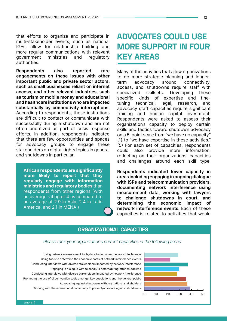that efforts to organize and participate in multi-stakeholder events, such as national IGFs, allow for relationship building and more regular communications with relevant government ministries and regulatory authorities.

Respondents also reported rare engagements on these issues with other important public and private sector actors, such as small businesses reliant on internet access, and other relevant industries, such as tourism or mobile money and educational and healthcare institutions who are impacted substantially by connectivity interruptions. According to respondents, these institutions are difficult to contact or communicate with successfully during a shutdown and are not often prioritized as part of crisis response efforts. In addition, respondents indicated that there are few opportunities and spaces for advocacy groups to engage these stakeholders on digital rights topics in general and shutdowns in particular.

African respondents are significantly more likely to report that they regularly engage with information ministries and regulatory bodies than respondents from other regions (with an average rating of 4 as compared to an average of 2.9 in Asia, 2.4 in Latin America, and 2.1 in MENA.)

### **ADVOCATES COULD USE MORE SUPPORT IN FOUR KEY AREAS**

Many of the activities that allow organizations to do more strategic planning and longerterm advocacy around connectivity, access, and shutdowns require staff with specialized skillsets. Developing these specific kinds of expertise and finetuning technical, legal, research, and advocacy staff capacities require significant training and human capital investment. Respondents were asked to assess their organization's capacity to deploy certain skills and tactics toward shutdown advocacy on a 5-point scale from "we have no capacity" (1) to "we have expertise in these activities." (5) For each set of capacities, respondents could also provide more information, reflecting on their organizations' capacities and challenges around each skill type.

Respondents indicated lower capacity in areas including engaging in ongoing dialogue with ISPs and telecommunication providers, documenting network interference using measurement data, working with lawyers to challenge shutdowns in court, and determining the economic impact of network interference events. Each of these capacities is related to activities that would

#### **ORGANIZATIONAL CAPACITIES**

Please rank your organization's current capacities in the following areas:

 Using tools to determine the economic costs of network interference events Promoting the use of circumvention tools amongst key populations and the general public Engaging in dialogue with telcos/ISPs before/during/after shutdowns Using network measurement tools/data to document network interference Conducting interviews with diverse stakeholders impacted by network interference Conducting interviews with diverse stakeholders impacted by network interference Advocating against shutdowns with key national stakeholders



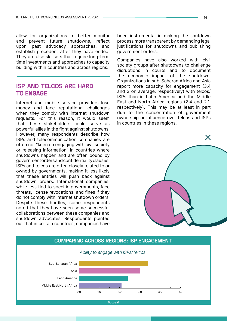allow for organizations to better monitor and prevent future shutdowns, reflect upon past advocacy approaches, and establish precedent after they have ended. They are also skillsets that require long-term time investments and approaches to capacity building within countries and across regions.

#### **ISP AND TELCOS ARE HARD TO ENGAGE**

Internet and mobile service providers lose money and face reputational challenges when they comply with internet shutdown requests. For this reason, it would seem that these stakeholders could serve as powerful allies in the fight against shutdowns. However, many respondents describe how ISPs and telecommunication companies are often not "keen on engaging with civil society or releasing information" in countries where shutdowns happen and are often bound by government orders and confidentiality clauses. ISPs and telcos are often closely related to or owned by governments, making it less likely that these entities will push back against shutdown orders. International companies, while less tied to specific governments, face threats, license revocations, and fines if they do not comply with internet shutdown orders. Despite these hurdles, some respondents noted that they have seen some successful collaborations between these companies and shutdown advocates. Respondents pointed out that in certain countries, companies have

been instrumental in making the shutdown process more transparent by demanding legal justifications for shutdowns and publishing government orders.

Companies have also worked with civil society groups after shutdowns to challenge disruptions in courts and to document the economic impact of the shutdown. Organizations in sub-Saharan Africa and Asia report more capacity for engagement (3.4 and 3 on average, respectively) with telcos/ ISPs than in Latin America and the Middle East and North Africa regions (2.4 and 2.1, respectively). This may be at least in part due to the concentration of government ownership or influence over telcos and ISPs in countries in these regions.



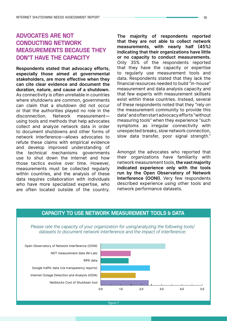### **ADVOCATES ARE NOT CONDUCTING NETWORK MEASUREMENTS BECAUSE THEY DON'T HAVE THE CAPACITY**

Respondents stated that advocacy efforts, especially those aimed at governmental stakeholders, are more effective when they can cite clear evidence and document the duration, nature, and cause of a shutdown. As connectivity is often unreliable in countries where shutdowns are common, governments can claim that a shutdown did not occur or that the authorities played no role in the disconnection. Network measurement using tools and methods that help advocates collect and analyze network data in order to document shutdowns and other forms of network interference—allows advocates to refute these claims with empirical evidence and develop improved understanding of the technical mechanisms governments use to shut down the internet and how those tactics evolve over time. However, measurements must be collected regularly within countries, and the analysis of these data requires collaboration with individuals who have more specialized expertise, who are often located outside of the country.

The majority of respondents reported that they are not able to collect network measurements, with nearly half (45%) indicating that their organizations have little or no capacity to conduct measurements. Only 35% of the respondents reported that they have the capacity or expertise to regularly use measurement tools and data. Respondents stated that they lack the financial resources needed to build "in-house" measurement and data analysis capacity and that few experts with measurement skillsets exist within these countries. Instead, several of these respondents noted that they "rely on the measurement community to provide this data" and often start advocacy efforts "without measuring tools" when they experience "such symptoms as irregular connectivity with unexpected breaks, slow network connection, slow data transfer, poor signal strength."

Amongst the advocates who reported that their organizations have familiarity with network measurement tools, the vast majority indicated experience only with the tools run by the Open Observatory of Network Interference (OONI). Very few respondents described experience using other tools and network performance datasets.

#### **CAPACITY TO USE NETWORK MEASUREMENT TOOLS & DATA**

Please rate the capacity of your organization for using/analyzing the following tools/ datasets to document network interference and the impact of interference:



figure 7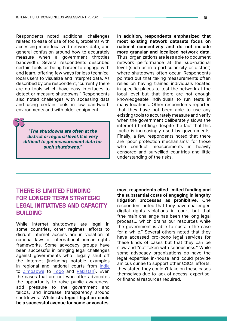Respondents noted additional challenges related to ease of use of tools, problems with accessing more localized network data, and general confusion around how to accurately measure when a government throttles bandwidth. Several respondents described certain tools as being harder to engage with and learn, offering few ways for less technical local users to visualize and interpret data. As described by one respondent, "currently there are no tools which have easy interfaces to detect or measure shutdowns." Respondents also noted challenges with accessing data and using certain tools in low bandwidth environments and with older equipment.

"The shutdowns are often at the district or regional level. It is very difficult to get measurement data for such shutdowns."

In addition, respondents emphasized that most existing network datasets focus on national connectivity and do not include more granular and localized network data. Thus, organizations are less able to document network performance at the sub-national level (such as in a particular city or district) where shutdowns often occur. Respondents pointed out that taking measurements often relies on having trained individuals located in specific places to test the network at the local level but that there are not enough knowledgeable individuals to run tests in many locations. Other respondents reported that they have not been able to use any existing tools to accurately measure and verify when the government deliberately slows the internet (throttling) despite the fact that this tactic is increasingly used by governments. Finally, a few respondents noted that there are "poor protection mechanisms" for those who conduct measurements in heavily censored and surveilled countries and little understanding of the risks.

### **THERE IS LIMITED FUNDING FOR LONGER TERM STRATEGIC LEGAL INITIATIVES AND CAPACITY BUILDING**

While internet shutdowns are legal in some countries, other regimes' efforts to disrupt internet access are in violation of national laws or international human rights frameworks. Some advocacy groups have been successful in bringing legal challenges against governments who illegally shut off the internet (including notable examples in regional and national courts from [India](https://sflc.in/sflcin-moves-calcutta-high-court-challenging-internet-shutdown-hoogli-district) to [Zimbabwe](https://www.reuters.com/article/us-zimbabwe-politics/zimbabwe-court-says-internet-shutdown-during-protests-was-illegal-idUSKCN1PF11M) to [Togo](https://www.accessnow.org/ecowas-togo-court-decision/) and [Pakistan](https://www.digitalrightsmonitor.pk/islamabad-high-court-declares-government-network-shutdown-illegal/)). Even the cases that are not won offer advocates the opportunity to raise public awareness, add pressure to the government and telcos, and increase transparency around shutdowns. While strategic litigation could be a successful avenue for some advocates, most respondents cited limited funding and the substantial costs of engaging in lengthy litigation processes as prohibitive. One respondent noted that they have challenged digital rights violations in court but that "the main challenge has been the long legal process… which drains our resources while the government is able to sustain the case for a while." Several others noted that they have accessed pro-bono legal services for these kinds of cases but that they can be slow and "not taken with seriousness." While some advocacy organizations do have the legal expertise in-house and could provide amicus curiae to support other CSOs' efforts, they stated they couldn't take on these cases themselves due to lack of access, expertise, or financial resources required.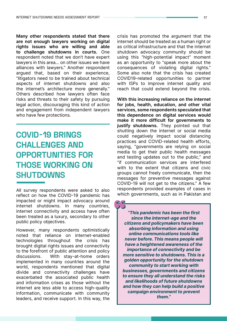Many other respondents stated that there are not enough lawyers working on digital rights issues who are willing and able to challenge shutdowns in courts. One respondent noted that we don't have expert lawyers in this area… on other issues we have alliances with lawyers." Another respondent argued that, based on their experience, "litigators need to be trained about technical aspects of internet shutdowns and also the internet's architecture more generally." Others described how lawyers often face risks and threats to their safety by pursuing legal action, discouraging this kind of action and engagement from independent lawyers who have few protections.

### **COVID-19 BRINGS CHALLENGES AND OPPORTUNITIES FOR THOSE WORKING ON SHUTDOWNS**

reflect on how the COVID-19 pandemic has impacted or might impact advocacy around internet shutdowns. In many countries, internet connectivity and access have often been treated as a luxury, secondary to other public policy objectives.

However, many respondents optimistically noted that reliance on internet-enabled technologies throughout the crisis has brought digital rights issues and connectivity to the forefront of public attention and policy discussions. With stay-at-home orders implemented in many countries around the world, respondents mentioned that digital divide and connectivity challenges have exacerbated the associated public health and information crises as those without the internet are less able to access high-quality information, communicate with community leaders, and receive support. In this way, the

crisis has promoted the argument that the internet should be treated as a human right or as critical infrastructure and that the internet shutdown advocacy community should be using this "high-potential impact" moment as an opportunity to "speak more about the consequences of violating digital rights." Some also note that the crisis has created COVID19-related opportunities to partner with ISPs to improve internet quality and reach that could extend beyond the crisis.

With this increasing reliance on the internet for jobs, health, education, and other vital services, some respondents speculated that this dependence on digital services would make it more difficult for governments to justify shutdowns. They pointed out that shutting down the internet or social media could negatively impact social distancing practices and COVID-related health efforts, saying, "governments are relying on social media to get their public health messages and testing updates out to the public," and "if communication services are interfered with to the extent that citizens and civic groups cannot freely communicate, then the messages for preventive messages against COVID-19 will not get to the citizens." A few respondents provided examples of cases in All survey respondents were asked to also a respondents provided examples of cases in All survey respondents were asked to also a respondents were reflections.

"This pandemic has been the first since the internet-age and the citizens and policymakers have been absorbing information and using online communications tools like never before. This means people will have a heightened awareness of the importance of connectivity and be more sensitive to shutdowns. This is a golden opportunity for the shutdown community to start working with businesses, governments and citizens to ensure they all understand the risks and likelihoods of future shutdowns and how they can help build a positive campaign environment to prevent them."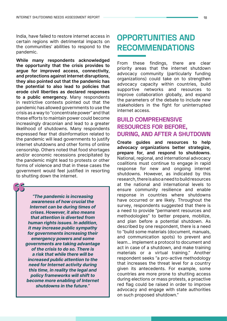India, have failed to restore internet access in certain regions with detrimental impacts on the communities' abilities to respond to the pandemic.

While many respondents acknowledged the opportunity that the crisis provides to argue for improved access, connectivity, and protections against internet disruptions, they also pointed out that the pandemic has the potential to also lead to policies that erode civil liberties as declared responses to a public emergency. Many respondents in restrictive contexts pointed out that the pandemic has allowed governments to use the crisis as a way to "concentrate power" and that these efforts to maintain power could become increasingly draconian and lead to a greater likelihood of shutdowns. Many respondents expressed fear that disinformation related to the pandemic will lead governments to justify internet shutdowns and other forms of online censorship. Others noted that food shortages and/or economic recessions precipitated by the pandemic might lead to protests or other forms of violence and that in these cases the government would feel justified in resorting to shutting down the internet.

"The pandemic is increasing awareness of how crucial the Internet can be during times of crises. However, it also means that attention is diverted from human rights issues. In addition, it may increase public sympathy for governments increasing their emergency powers and some governments are taking advantage of the crisis to do so. There is a risk that while there will be increased public attention to the need for Internet activity during this time, in reality the legal and policy frameworks will shift to become more enabling of Internet shutdowns in the future."

### **OPPORTUNITIES AND RECOMMENDATIONS**

From these findings, there are clear priority areas that the internet shutdown advocacy community (particularly funding organizations) could take on to strengthen advocacy capacity within countries, build supportive networks and resources to improve collaboration globally, and expand the parameters of the debate to include new stakeholders in the fight for uninterrupted internet access.

### **BUILD COMPREHENSIVE RESOURCES FOR BEFORE, DURING, AND AFTER A SHUTDOWN**

Create guides and resources to help advocacy organizations better strategize, prepare for, and respond to shutdowns. National, regional, and international advocacy coalitions must continue to engage in rapid response for new and ongoing internet shutdowns. However, as indicated by this research, there is also a need to build resources at the national and international levels to ensure community resilience and enable response in countries where shutdowns have occurred or are likely. Throughout the survey, respondents suggested that there is a need to provide "permanent resources and methodologies" to better prepare, mobilize, and plan before a potential shutdown. As described by one respondent, there is a need to "build some materials (document, manuals, and communication spots) to prevent and learn… implement a protocol to document and act in case of a shutdown, and make training materials or a virtual training." Another respondent seeks "a pro-active methodology that increases the threat level for a country given its antecedents. For example, some countries are more prone to shutting access during elections or mass protests, a proactive red flag could be raised in order to improve advocacy and engage with state authorities on such proposed shutdown."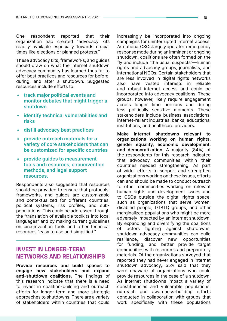One respondent reported that their organization had created "advocacy kits readily available especially towards crucial times like elections or planned protests."

These advocacy kits, frameworks, and guides should draw on what the internet shutdown advocacy community has learned thus far to offer best practices and resources for before, during, and after a shutdown. Suggested resources include efforts to:

- track major political events and monitor debates that might trigger a shutdown
- identify technical vulnerabilities and risks
- distill advocacy best practices
- provide outreach materials for a variety of core stakeholders that can be customized for specific countries
- provide guides to measurement tools and resources, circumvention methods, and legal support resources.

Respondents also suggested that resources should be provided to ensure that protocols, frameworks, and guides are customizable and contextualized for different countries, political systems, risk profiles, and subpopulations. This could be addressed through the "translation of available toolkits into local languages" and by making current guidelines on circumvention tools and other technical resources "easy to use and simplified."

#### **INVEST IN LONGER-TERM NETWORKS AND RELATIONSHIPS**

Provide resources and build spaces to engage new stakeholders and expand anti-shutdown coalitions. The findings of this research indicate that there is a need to invest in coalition-building and outreach efforts for longer-term and more strategic approaches to shutdowns. There are a variety of stakeholders within countries that could

increasingly be incorporated into ongoing campaigns for uninterrupted internet access. As national CSOs largely operate in emergency response mode during an imminent or ongoing shutdown, coalitions are often formed on the fly and include "the usual suspects"—human rights and advocacy groups, journalists, and international NGOs. Certain stakeholders that are less involved in digital rights networks also have vested interests in reliable and robust internet access and could be incorporated into advocacy coalitions. These groups, however, likely require engagement across longer time horizons and during less politically sensitive moments. These stakeholders include business associations, internet-reliant industries, banks, educational institutions, and healthcare providers.

Make internet shutdowns relevant to organizations working on human rights, gender equality, economic development, and democratization. A majority (84%) of the respondents for this research indicated that advocacy communities within their countries needed strengthening. As part of wider efforts to support and strengthen organizations working on these issues, efforts can and should be made to conduct outreach to other communities working on relevant human rights and development issues and to CSOs outside the digital rights space, such as organizations that serve women. disabled people, LGBTQ groups, and other marginalized populations who might be more adversely impacted by an internet shutdown. By expanding and diversifying the coalitions of actors fighting against shutdowns, shutdown advocacy communities can build resilience, discover new opportunities for funding, and better provide target communities with resources and preparatory materials. Of the organizations surveyed that reported they had never engaged in internet shutdown advocacy, 55% said that they were unaware of organizations who could provide resources in the case of a shutdown. As internet shutdowns impact a variety of constituencies and vulnerable populations, outreach and awareness-building efforts conducted in collaboration with groups that work specifically with these populations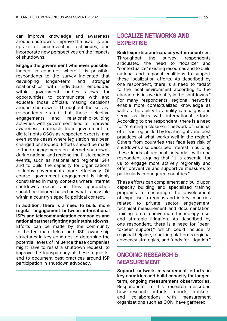can improve knowledge and awareness around shutdowns, improve the usability and uptake of circumvention techniques, and incorporate new perspectives on the impacts of shutdowns.

Engage the government whenever possible. Indeed, in countries where it is possible, respondents to the survey indicated that developing longer-term and stronger relationships with individuals embedded within government bodies allows for opportunities to communicate with and educate those officials making decisions around shutdowns. Throughout the survey, respondents stated that these selective engagements and relationship-building activities with government lead to improved awareness, outreach from government to digital rights CSOs as respected experts, and even some cases where legislation has been changed or stopped. Efforts should be made to fund engagements on internet shutdowns during national and regional multi-stakeholder events, such as national and regional IGFs and to build the capacity for organizations to lobby governments more effectively. Of course, government engagement is highly constrained in many contexts where internet shutdowns occur, and thus approaches should be tailored based on what is possible within a country's specific political context.

In addition, there is a need to build more regular engagement between international ISPs and telecommunication companies and national partners fighting against shutdowns. Efforts can be made by the community to better map telco and ISP ownership structures in key countries to determine the potential levers of influence these companies might have to resist a shutdown request, to improve the transparency of these requests, and to document best practices around ISP participation in shutdown advocacy.

#### **LOCALIZE NETWORKS AND EXPERTISE**

Build expertise and capacity within countries. Throughout the survey, respondents articulated the need to "localize" and "contextualize" existing resources and to build national and regional coalitions to support these localization efforts. As described by one respondent, there is a need to "adapt to the local environment according to the characteristics we identify in the shutdowns." For many respondents, regional networks enable more contextualized knowledge as well as the ability to amplify campaigns and serve as links with international efforts. According to one respondent, there is a need for "creating a close-knit network of national efforts in region, led by local insights and best practices of what works well in the region." Others from countries that face less risk of shutdowns also described interest in building these kinds of regional networks, with one respondent arguing that "it is essential for us to engage more actively regionally and offer preventive and supportive measures to particularly endangered countries."

These efforts can complement and build upon capacity building and specialized training programs to encourage the development of expertise in regions and in key countries related to private sector engagement, technical measurement and documentation, training on circumvention technology use, and strategic litigation. As described by one respondent, there is a need for "peerto-peer support," which could include "a regional helpline, reporting platforms regional advocacy strategies, and funds for litigation."

#### **ONGOING RESEARCH & MEASUREMENT**

Support network measurement efforts in key countries and build capacity for longerterm, ongoing measurement observatories. Respondents in this research described how research outputs, reports, trackers, and collaborations with measurement organizations such as OONI have garnered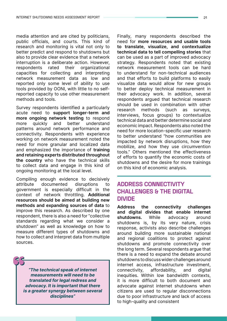media attention and are cited by politicians, public officials, and courts. This kind of research and monitoring is vital not only to better predict and respond to shutdowns but also to provide clear evidence that a network interruption is a deliberate action. However, respondents rated their organizational capacities for collecting and interpreting network measurement data as low and reported only some level of ability to use tools provided by OONI, with little to no selfreported capacity to use other measurement methods and tools.

Survey respondents identified a particularly acute need to support longer-term and more ongoing network testing to respond more quickly and better understand patterns around network performance and connectivity. Respondents with experience working on network measurement noted the need for more granular and localized data and emphasized the importance of training and retaining experts distributed throughout the country who have the technical skills to collect data and engage in this kind of ongoing monitoring at the local level.

Compiling enough evidence to decisively attribute documented disruptions to government is especially difficult in the context of network throttling. Additional resources should be aimed at building new methods and expanding sources of data to improve this research. As described by one respondent, there is also a need for "collective standards regarding what we consider a shutdown" as well as knowledge on how to measure different types of shutdowns and how to collect and interpret data from multiple sources.

"The technical speak of internet measurements will need to be translated for legal redress and advocacy. It is important that there is a greater synergy between several disciplines"

Finally, many respondents described the need for more resources and usable tools to translate, visualize, and contextualize technical data to tell compelling stories that can be used as a part of improved advocacy strategy. Respondents noted that existing network measurement tools can be hard to understand for non-technical audiences and that efforts to build platforms to easily visualize data would allow for new groups to better deploy technical measurement in their advocacy work. In addition, several respondents argued that technical research should be used in combination with other research methods (such as surveys, interviews, focus groups) to contextualize technical data and better determine social and economic impact. Respondents also noted the need for more location-specific user research to better understand "how communities are impacted by network disruptions, how they mobilize, and how they use circumvention tools." Others mentioned the effectiveness of efforts to quantify the economic costs of shutdowns and the desire for more trainings on this kind of economic analysis.

#### **ADDRESS CONNECTIVITY CHALLENGES & THE DIGITAL DIVIDE**

Address the connectivity challenges and digital divides that enable internet shutdowns. While advocacy around shutdowns is, by its very nature, crisis response, activists also describe challenges around building more sustainable national and regional coalitions to protect against shutdowns and promote connectivity over the long term. Several respondents argue that there is a need to expand the debate around shutdowns to discuss wider challenges around internet access, infrastructure investment, connectivity, affordability, and digital inequities. Within low bandwidth contexts, it is more difficult to both document and advocate against internet shutdowns when citizens are used to regular disconnections due to poor infrastructure and lack of access to high-quality and consistent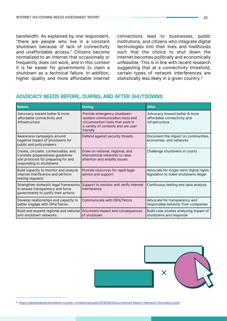bandwidth. As explained by one respondent, "there are people who live in a constant shutdown because of lack of connectivity and unaffordable access." Citizens become normalized to an internet that occasionally or frequently does not work, and in this context it is far easier for governments to claim a shutdown as a technical failure. In addition, higher quality and more affordable internet

connections lead to businesses, public institutions, and citizens who integrate digital technologies into their lives and livelihoods such that the choice to shut down the internet becomes politically and economically unfeasible. This is in line with recent research suggesting that at a connectivity threshold, certain types of network interferences are statistically less likely in a given country.<sup>5</sup>

#### **ADVOCACY NEEDS BEFORE, DURING, AND AFTER SHUTDOWNS**

| <b>Before</b>                                                                                                                                | <b>During</b>                                                                                                                                          | <b>After</b>                                                                     |
|----------------------------------------------------------------------------------------------------------------------------------------------|--------------------------------------------------------------------------------------------------------------------------------------------------------|----------------------------------------------------------------------------------|
| Advocacy toward better & more<br>affordable connectivity and<br>infrastructure                                                               | Provide emergency shutdown-<br>resilient communication tools and<br>circumvention tools that work in<br>a variety of contexts and are user<br>friendly | Advocacy toward better & more<br>affordable connectivity and<br>infrastructure   |
| Awareness campaigns around<br>negative impact of shutdowns for<br>public and policymakers                                                    | Defend against security threats                                                                                                                        | Document the impact on communities,<br>economies, and networks                   |
| Create, circulate, contextualize, and<br>translate preparedness guidelines<br>and protocols for preparing for and<br>responding to shutdowns | Draw on national, regional, and<br>international networks to raise<br>attention and amplify issues                                                     | Challenge shutdowns in courts                                                    |
| Build capacity to monitor and analyze<br>internet interference and perform<br>testing regularly                                              | Provide resources for rapid legal<br>advice and support                                                                                                | Advocate for longer-term digital rights<br>legislation to make shutdowns illegal |
| Strengthen domestic legal frameworks<br>to ensure transparency and force<br>governments to justify their actions                             | Support to monitor and verify internet<br>interference                                                                                                 | Continuous testing and data analysis                                             |
| Develop relationships and capacity to<br>better engage with ISPs/Telcos                                                                      | Communicate with ISPs/Telcos                                                                                                                           | Advocate for transparency and<br>responsible behavior from companies             |
| Build and expand regional and national Document impact and consequences<br>anti-shutdown networks                                            | of shutdown                                                                                                                                            | Build case studies analyzing impact of<br>shutdowns and response                 |



<sup>5</sup> <https://globalnetworkinitiative.org/wp-content/uploads/2018/06/Disconnected-Report-Network-Disruptions.pdf>